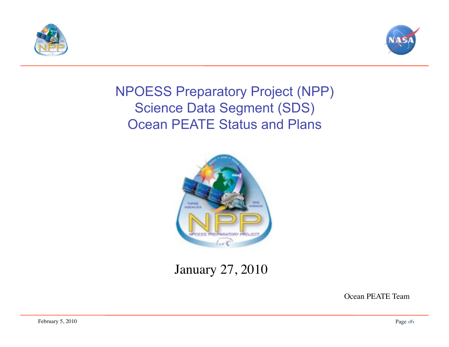



#### NPOESS Preparatory Project (NPP) Science Data Segment (SDS) Ocean PEATE Status and Plans



#### January 27, 2010

Ocean PEATE Team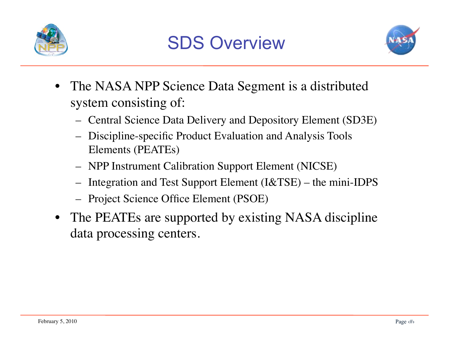



- The NASA NPP Science Data Segment is a distributed system consisting of:
	- Central Science Data Delivery and Depository Element (SD3E)
	- Discipline-specific Product Evaluation and Analysis Tools Elements (PEATEs)
	- NPP Instrument Calibration Support Element (NICSE)
	- Integration and Test Support Element (I&TSE) the mini-IDPS
	- Project Science Office Element (PSOE)
- The PEATEs are supported by existing NASA discipline data processing centers.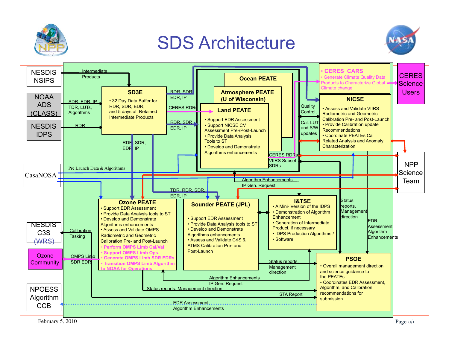

# SDS Architecture



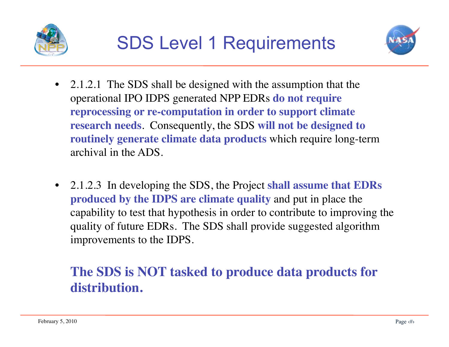



- 2.1.2.1 The SDS shall be designed with the assumption that the operational IPO IDPS generated NPP EDRs **do not require reprocessing or re-computation in order to support climate research needs**. Consequently, the SDS **will not be designed to routinely generate climate data products** which require long-term archival in the ADS.
- 2.1.2.3 In developing the SDS, the Project **shall assume that EDRs produced by the IDPS are climate quality** and put in place the capability to test that hypothesis in order to contribute to improving the quality of future EDRs. The SDS shall provide suggested algorithm improvements to the IDPS.

#### **The SDS is NOT tasked to produce data products for distribution.**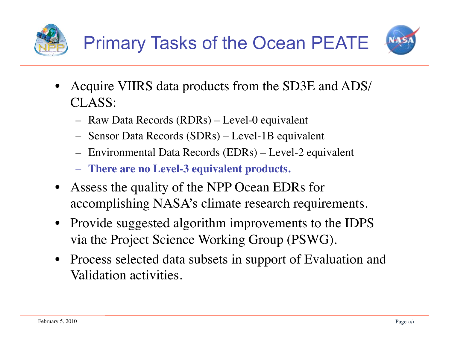



- Acquire VIIRS data products from the SD3E and ADS/ CLASS:
	- Raw Data Records (RDRs) Level-0 equivalent
	- Sensor Data Records (SDRs) Level-1B equivalent
	- Environmental Data Records (EDRs) Level-2 equivalent
	- **There are no Level-3 equivalent products.**
- Assess the quality of the NPP Ocean EDRs for accomplishing NASA's climate research requirements.
- Provide suggested algorithm improvements to the IDPS via the Project Science Working Group (PSWG).
- Process selected data subsets in support of Evaluation and Validation activities.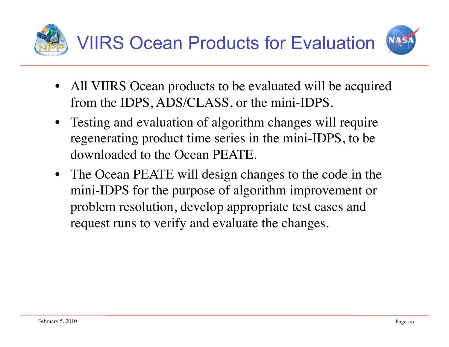

- All VIIRS Ocean products to be evaluated will be acquired from the IDPS, ADS/CLASS, or the mini-IDPS.
- Testing and evaluation of algorithm changes will require regenerating product time series in the mini-IDPS, to be downloaded to the Ocean PEATE.
- The Ocean PEATE will design changes to the code in the mini-IDPS for the purpose of algorithm improvement or problem resolution, develop appropriate test cases and request runs to verify and evaluate the changes.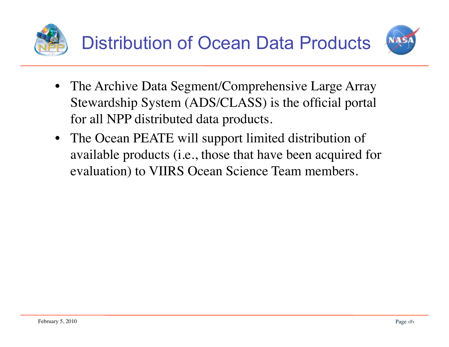



- The Archive Data Segment/Comprehensive Large Array Stewardship System (ADS/CLASS) is the official portal for all NPP distributed data products.
- The Ocean PEATE will support limited distribution of available products (i.e., those that have been acquired for evaluation) to VIIRS Ocean Science Team members.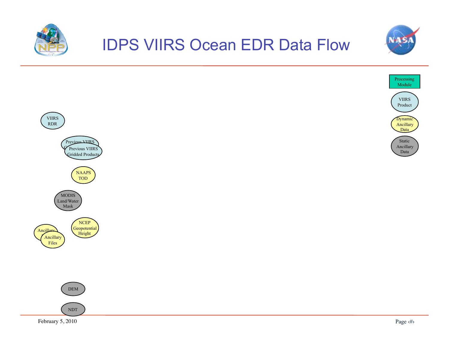







February 5, 2010 Page  $\langle \# \rangle$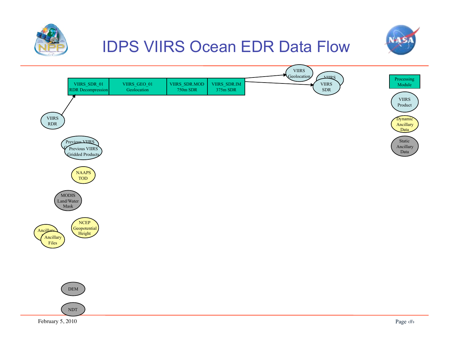



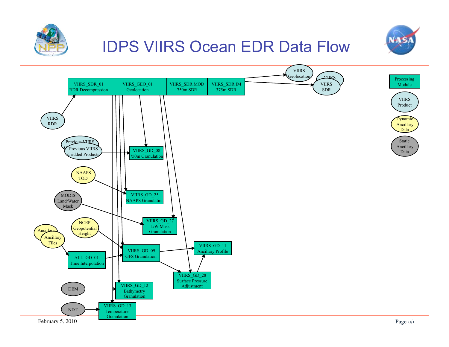



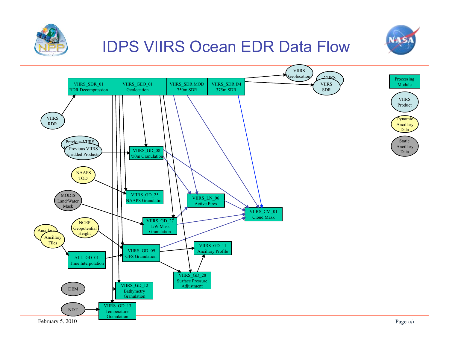



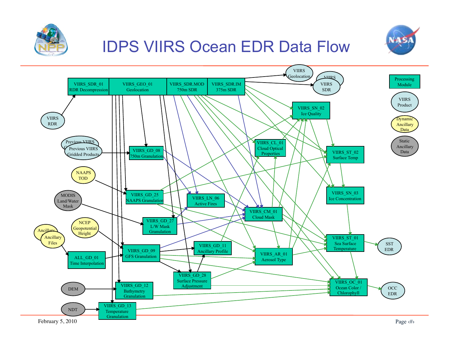



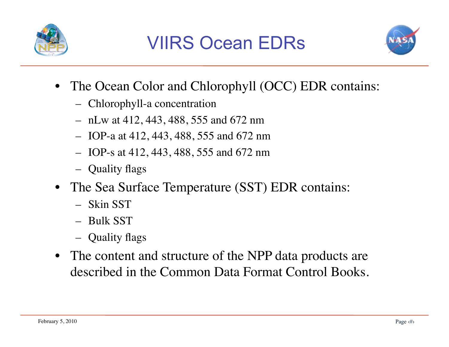



- The Ocean Color and Chlorophyll (OCC) EDR contains:
	- Chlorophyll-a concentration
	- nLw at 412, 443, 488, 555 and 672 nm
	- IOP-a at 412, 443, 488, 555 and 672 nm
	- IOP-s at 412, 443, 488, 555 and 672 nm
	- Quality flags
- The Sea Surface Temperature (SST) EDR contains:
	- Skin SST
	- Bulk SST
	- Quality flags
- The content and structure of the NPP data products are described in the Common Data Format Control Books.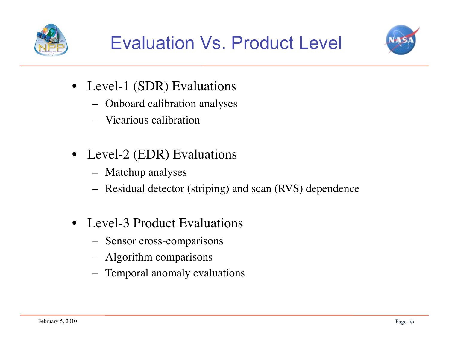



- Level-1 (SDR) Evaluations
	- Onboard calibration analyses
	- Vicarious calibration
- Level-2 (EDR) Evaluations
	- Matchup analyses
	- Residual detector (striping) and scan (RVS) dependence
- Level-3 Product Evaluations
	- Sensor cross-comparisons
	- Algorithm comparisons
	- Temporal anomaly evaluations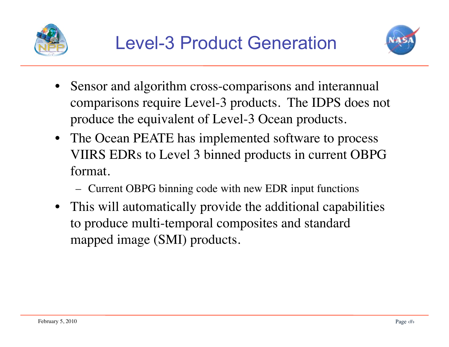



- Sensor and algorithm cross-comparisons and interannual comparisons require Level-3 products. The IDPS does not produce the equivalent of Level-3 Ocean products.
- The Ocean PEATE has implemented software to process VIIRS EDRs to Level 3 binned products in current OBPG format.
	- Current OBPG binning code with new EDR input functions
- This will automatically provide the additional capabilities to produce multi-temporal composites and standard mapped image (SMI) products.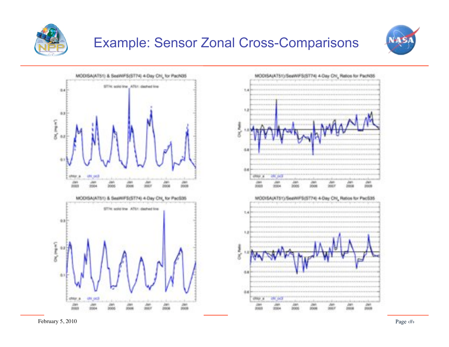

#### Example: Sensor Zonal Cross-Comparisons



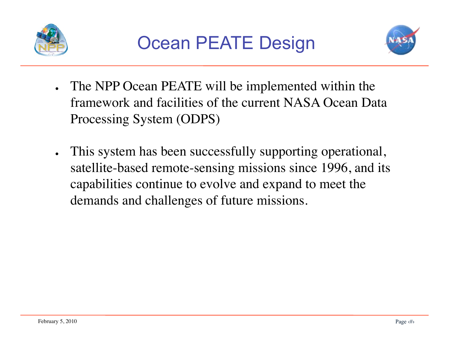



- . The NPP Ocean PEATE will be implemented within the framework and facilities of the current NASA Ocean Data Processing System (ODPS)
- . This system has been successfully supporting operational, satellite-based remote-sensing missions since 1996, and its capabilities continue to evolve and expand to meet the demands and challenges of future missions.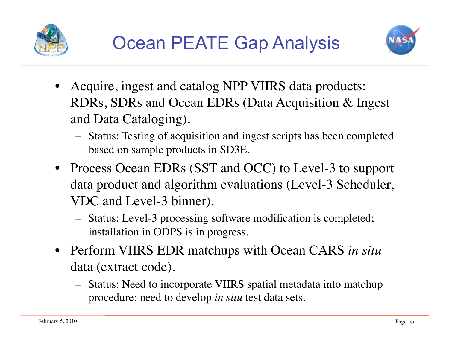



- Acquire, ingest and catalog NPP VIIRS data products: RDRs, SDRs and Ocean EDRs (Data Acquisition & Ingest and Data Cataloging).
	- Status: Testing of acquisition and ingest scripts has been completed based on sample products in SD3E.
- Process Ocean EDRs (SST and OCC) to Level-3 to support data product and algorithm evaluations (Level-3 Scheduler, VDC and Level-3 binner).
	- Status: Level-3 processing software modification is completed; installation in ODPS is in progress.
- Perform VIIRS EDR matchups with Ocean CARS *in situ* data (extract code).
	- Status: Need to incorporate VIIRS spatial metadata into matchup procedure; need to develop *in situ* test data sets.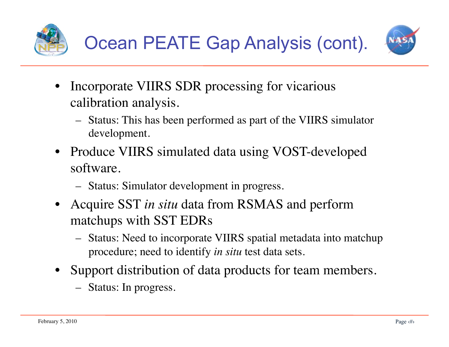



- Incorporate VIIRS SDR processing for vicarious calibration analysis.
	- Status: This has been performed as part of the VIIRS simulator development.
- Produce VIIRS simulated data using VOST-developed software.
	- Status: Simulator development in progress.
- Acquire SST *in situ* data from RSMAS and perform matchups with SST EDRs
	- Status: Need to incorporate VIIRS spatial metadata into matchup procedure; need to identify *in situ* test data sets.
- Support distribution of data products for team members.
	- Status: In progress.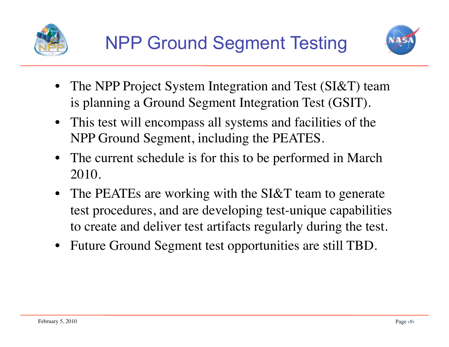



- The NPP Project System Integration and Test (SI&T) team is planning a Ground Segment Integration Test (GSIT).
- This test will encompass all systems and facilities of the NPP Ground Segment, including the PEATES.
- The current schedule is for this to be performed in March 2010.
- The PEATEs are working with the SI&T team to generate test procedures, and are developing test-unique capabilities to create and deliver test artifacts regularly during the test.
- Future Ground Segment test opportunities are still TBD.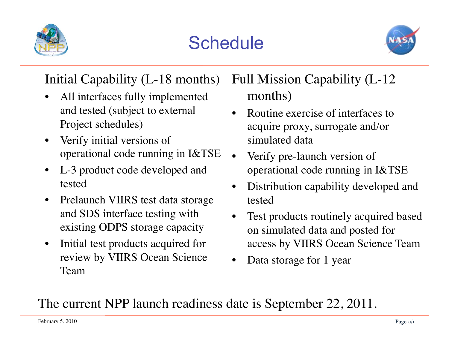

# **Schedule**



#### Initial Capability (L-18 months)

- All interfaces fully implemented and tested (subject to external Project schedules)
- Verify initial versions of operational code running in I&TSE
- L-3 product code developed and tested
- Prelaunch VIIRS test data storage and SDS interface testing with existing ODPS storage capacity
- Initial test products acquired for review by VIIRS Ocean Science Team

Full Mission Capability (L-12 months)

- Routine exercise of interfaces to acquire proxy, surrogate and/or simulated data
- Verify pre-launch version of operational code running in I&TSE
- Distribution capability developed and tested
- Test products routinely acquired based on simulated data and posted for access by VIIRS Ocean Science Team
- Data storage for 1 year

#### The current NPP launch readiness date is September 22, 2011.